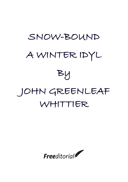# SNOW-BOUND A WINTER IDYL By JOHN GREENLEAF WHITTIER

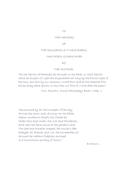TO

## THE MEMORY

OF

### THE HOUSEHOLD IT DESCRIBES,

### THIS POEM IS DEDICATED

BY

### THE AUTHOR.

"As the Spirits of Darkness be stronger in the dark, so Good Spirits which be Angels of Light are augmented not only by the Divine light of the Sun, but also by our common VVood Fire: and as the Celestial Fire drives away dark spirits, so also this our Fire of VVood doth the same."

COR. AGRIPPA, Occult Philosophy, Book I. chap. v.

"Announced by all the trumpets of the sky, Arrives the snow; and, driving o'er the fields, Seems nowhere to alight; the whited air Hides hills and woods, the river and the heaven, And veils the farm-house at the garden's end. The sled and traveller stopped, the courier's feet Delayed, all friends shut out, the housemates sit Around the radiant fireplace, enclosed In a tumultuous privacy of storm."

EMERSON.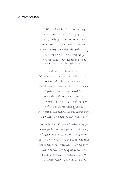### SNOW-BOUND

THE sun that brief December day Rose cheerless over hills of gray, And, darkly circled, gave at noon A sadder light than waning moon. Slow tracing down the thickening sky Its mute and ominous prophecy, A portent seeming less than threat, It sank from sight before it set.

A chill no coat, however stout, Of homespun stuff could quite shut out, A hard, dull bitterness of cold, That checked, mid-vein, the circling race Of life-blood in the sharpened face, The coming of the snow-storm told. The wind blew east: we heard the roar Of Ocean on his wintry shore, And felt the strong pulse throbbing there Beat with low rhythm our inland air.

Meanwhile we did our nightly chores,— Brought in the wood from out of doors, Littered the stalls, and from the mows Raked down the herd's-grass for the cows; Heard the horse whinnying for his corn; And, sharply clashing horn on horn, Impatient down the stanchion rows The cattle shake their walnut bows;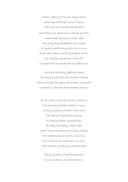While, peering from his early perch Upon the scaffold's pole of birch, The cock his crested helmet bent And down his querulous challenge sent. Unwarmed by any sunset light The gray day darkened into night, A night made hoary with the swarm And whirl-dance of the blinding storm, As zigzag wavering to and fro Crossed and recrossed the wingéd snow:

And ere the early bedtime came The white drift piled the window-frame, And through the glass the clothes-line posts Looked in like tall and sheeted ghosts.

So all night long the storm roared on: The morning broke without a sun; In tiny spherule traced with lines Of Nature's geometric signs, In starry flake, and pellicle, All day the hoary meteor fell; And, when the second morning shone, We looked upon a world unknown, On nothing we could call our own. Around the glistening wonder bent

The blue walls of the firmament, No cloud above, no earth below,—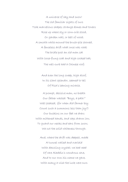A universe of sky and snow! The old familiar sights of ours Took marvellous shapes; strange domes and towers Rose up where sty or corn-crib stood, Or garden wall, or belt of wood; A smooth white mound the brush-pile showed, A fenceless drift what once was road; The bridle post an old man sat With loose-flung coat and high cocked hat; The well-curb had a Chinese roof;

> And even the long sweep, high aloof, In its slant splendor, seemed to tell Of Pisa's leaning miracle.

A prompt, decisive man, no breath Our father wasted: "Boys, a path!" Well pleased, (for when did farmer boy Count such a summons less than joy?) Our buskins on our feet we drew; With mittened hands, and caps drawn low, To guard our necks and ears from snow, We cut the solid whiteness through.

And, where the drift was deepest, made A tunnel walled and overlaid With dazzling crystal: we had read Of rare Aladdin's wondrous cave, And to our own his name we gave, With many a wish the luck were ours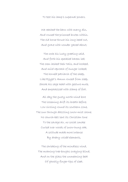To test his lamp's supernal powers.

We reached the barn with merry din, And roused the prisoned brutes within. The old horse thrust his long head out, And grave with wonder gazed about;

The cock his lusty greeting said, And forth his speckled harem led; The oxen lashed their tails, and hooked, And mild reproach of hunger looked; The hornéd patriarch of the sheep, Like Egypt's Amun roused from sleep, Shook his sage head with gesture mute, And emphasized with stamp of foot.

All day the gusty north-wind bore The loosening drift its breath before; Low circling round its southern zone, The sun through dazzling snow-mist shone. No church-bell lent its Christian tone To the savage air, no social smoke Curled over woods of snow-hung oak. A solitude made more intense By dreary voicéd elements,

The shrieking of the mindless wind, The moaning tree-boughs swaying blind, And on the glass the unmeaning beat Of ghostly finger-tips of sleet.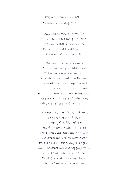Beyond the circle of our hearth No welcome sound of toil or mirth

Unbound the spell, and testified Of human life and thought outside. We minded that the sharpest ear The buried brooklet could not hear, The music of whose liquid lip

Had been to us companionship, And, in our lonely life, had grown To have an almost human tone. As night drew on, and, from the crest Of wooded knolls that ridged the west, The sun, a snow-blown traveller, sank From sight beneath the smothering bank, We piled, with care, our nightly stack Of wood against the chimney-back,—

The oaken log, green, huge, and thick, And on its top the stout back-stick; The knotty forestick laid apart, And filled between with curious art The ragged brush; then, hovering near, We watched the first red blaze appear, Heard the sharp crackle, caught the gleam On whitewashed wall and sagging beam, Until the old, rude-furnished room Burst, flower-like, into rosy bloom; While radiant with a mimic flame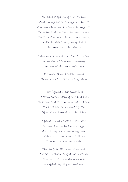Outside the sparkling drift became, And through the bare-boughed lilac-tree Our own warm hearth seemed blazing free. The crane and pendent trammels showed, The Turks' heads on the andirons glowed; While childish fancy, prompt to tell The meaning of the miracle,

Whispered the old rhyme: "Under the tree, When fire outdoors burns merrily, There the witches are making tea."

The moon above the eastern wood Shone at its full; the hill-range stood

Transfigured in the silver flood, Its blown snows flashing cold and keen, Dead white, save where some sharp ravine Took shadow, or the sombre green Of hemlocks turned to pitchy black

Against the whiteness at their back. For such a world and such a night Most fitting that unwarming light, Which only seemed where'er it fell To make the coldness visible.

Shut in from all the world without, We sat the clean-winged hearth about, Content to let the north-wind roar In baffled rage at pane and door,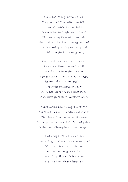While the red logs before us beat The frost-line back with tropic heat; And ever, when a louder blast Shook beam and rafter as it passed, The merrier up its roaring draught The great throat of the chimney laughed, The house-dog on his paws outspread Laid to the fire his drowsy head,

The cat's dark silhouette on the wall A couchant tiger's seemed to fall; And, for the winter fireside meet, Between the andirons' straddling feet, The mug of cider simmered slow, The apples sputtered in a row, And, close at hand, the basket stood With nuts from brown October's wood.

What matter how the night behaved? What matter how the north-wind raved? Blow high, blow low, not all its snow Could quench our hearth-fire's ruddy glow. O Time and Change!—with hair as gray

As was my sire's that winter day, How strange it seems, with so much gone Of life and love, to still live on! Ah, brother! only I and thou Are left of all that circle now,— The dear home faces whereupon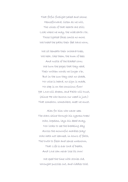That fitful firelight paled and shone. Henceforward, listen as we will, The voices of that hearth are still; Look where we may, the wide earth o'er, Those lighted faces smile no more. We tread the paths their feet have worn,

We sit beneath their orchard-trees, We hear, like them, the hum of bees And rustle of the bladed corn; We turn the pages that they read, Their written words we linger o'er, But in the sun they cast no shade, No voice is heard, no sign is made, No step is on the conscious floor! Yet Love will dream, and Faith will trust, (Since He who knows our need is just,) That somehow, somewhere, meet we must.

Alas for him who never sees The stars shine through his cypress-trees! Who, hopeless, lays his dead away, Nor looks to see the breaking day Across the mournful marbles play! Who hath not learned, in hours of faith, The truth to flesh and sense unknown, That Life is ever lord of Death, And Love can never lose its own!

We sped the time with stories old, Wrought puzzles out, and riddles told,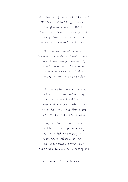Or stammered from our school-book lore "The Chief of Gambia's golden shore." How often since, when all the land Was clay in Slavery's shaping hand, As if a trumpet called, I've heard Dame Mercy Warren's rousing word:

"Does not the voice of reason cry, Claim the first right which Nature gave, From the red scourge of bondage fly, Nor deign to live a burdened slave!" Our father rode again his ride On Memphremagog's wooded side;

Sat down again to moose and samp In trapper's hut and Indian camp; Lived o'er the old idyllic ease Beneath St. François' hemlock-trees; Again for him the moonlight shone On Norman cap and bodiced zone;

Again he heard the violin play Which led the village dance away, And mingled in its merry whirl The grandam and the laughing girl. Or, nearer home, our steps he led Where Salisbury's level marshes spread

Mile-wide as flies the laden bee;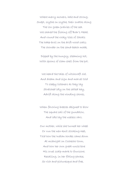Where merry mowers, hale and strong, Swept, scythe on scythe, their swaths along The low green prairies of the sea. We shared the fishing off Boar's Head, And round the rocky Isles of Shoals The hake-broil on the drift-wood coals; The chowder on the sand-beach made,

Dipped by the hungry, steaming hot, With spoons of clam-shell from the pot.

We heard the tales of witchcraft old, And dream and sign and marvel told To sleepy listeners as they lay Stretched idly on the salted hay, Adrift along the winding shores,

When favoring breezes deigned to blow The square sail of the gundalow, And idle lay the useless oars.

Our mother, while she turned her wheel Or run the new-knit stocking-heel, Told how the Indian hordes came down At midnight on Cochecho town, And how her own great-uncle bore His cruel scalp-mark to fourscore. Recalling, in her fitting phrase, So rich and picturesque and free,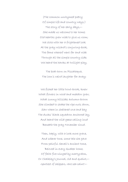(The common unrhymed poetry Of simple life and country ways,) The story of her early days,— She made us welcome to her home; Old hearths grew wide to give us room; We stole with her a frightened look At the gray wizard's conjuring-book, The fame whereof went far and wide Through all the simple country side; We heard the hawks at twilight play,

The boat-horn on Piscataqua, The loon's weird laughter far away;

We fished her little trout-brook, knew What flowers in wood and meadow grew, What sunny hillsides autumn-brown She climbed to shake the ripe nuts down, Saw where in sheltered cove and bay The ducks' black squadron anchored lay, And heard the wild-geese calling loud Beneath the gray November cloud.

Then, haply, with a look more grave, And soberer tone, some tale she gave From painful Sewell's ancient tome, Beloved in every Quaker home, Of faith fire-winged by martyrdom, Or Chalkley's Journal, old and quaint,— Gentlest of skippers, rare sea-saint!—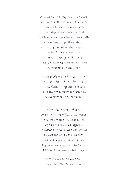Who, when the dreary calms prevailed, And water-butt and bread-cask failed, And cruel, hungry eyes pursued His portly presence mad for food, With dark hints muttered under breath Of casting lots for life or death, Offered, if Heaven withheld supplies, To be himself the sacrifice. Then, suddenly, as if to save The good man from his living grave A ripple on the water grew,

A school of porpoise flashed in view. "Take, eat," he said, "and be content; These fishes in my stead are sent By Him who gave the tangled ram To spare the child of Abraham."

Our uncle, innocent of books, Was rich in lore of fields and brooks, The ancient teachers never dumb Of Nature's unhoused lyceum. In moons and tides and weather wise, He read the clouds as prophecies, And foul or fair could well divine, By many an occult hint and sign, Holding the cunning-warded keys,

To all the woodcraft mysteries; Himself to Nature's heart so near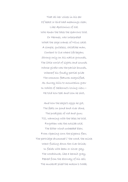That all her voices in his ear Of beast or bird had meanings clear, Like Apollonius of old, Who knew the tales the sparrows told, Or Hermes, who interpreted What the sage cranes of Nilus said; A simple, guileless, childlike man, Content to live where life began; Strong only on his native grounds, The little world of sights and sounds Whose girdle was the parish bounds, Whereof his fondly partial pride The common features magnified, As Surrey hills to mountains grew In White of Selborne's loving view,— He told how teal and loon he shot,

And how the eagle's eggs he got, The feats on pond and river done, The prodigies of rod and gun; Till, warming with the tales he told, Forgotten was the outside cold, The bitter wind unheeded blew, From ripening corn the pigeons flew, The partridge drummed i' the wood, the mink Went fishing down the river-brink; In fields with bean or clover gay, The woodchuck, like a hermit gray, Peered from the doorway of his cell; The muskrat plied the mason's trade,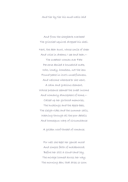And tier by tier his mud-walls laid

And from the shagbark overhead The grizzled squirrel dropped his shell. Next, the dear aunt, whose smile of cheer And voice in dreams I see and hear,— The sweetest woman ever Fate Perverse denied a household mate, Who, lonely, homeless, not the less Found peace in love's unselfishness, And welcome wheresoe'er she went, A calm and gracious element, Whose presence seemed the sweet income And womanly atmosphere of home,— Called up her girlhood memories, The huskings and the apple-bees, The sleigh-rides and the summer sails, Weaving through all the poor details And homespun warp of circumstance

A golden woof-thread of romance.

For well she kept her genial mood And simple faith of maidenhood; Before her still a cloud-land lay, The mirage loomed across her way; The morning dew, that dries so soon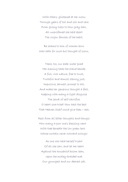With others, glistened at her noon; Through years of toil and soil and care From glossy tress to thin gray hair, All unprofaned she held apart The virgin fancies of the heart.

Be shame to him of woman born Who hath for such but thought of scorn.

There, too, our elder sister plied Her evening task the stand beside; A full, rich nature, free to trust, Truthful and almost sternly just, Impulsive, earnest, prompt to act, And make her generous thought a fact, Keeping with many a light disguise The secret of self-sacrifice. O heart sore-tried! thou hast the best That Heaven itself could give thee,—rest,

Rest from all bitter thoughts and things! How many a poor one's blessing went With thee beneath the low green tent Whose curtain never outward swings!

As one who held herself a part Of all she saw, and let her heart Against the household bosom lean, Upon the motley-braided mat Our youngest and our dearest sat,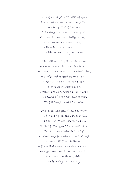Lifting her large, sweet, asking eyes, Now bathed within the fadeless green And holy peace of Paradise. O, looking from some heavenly hill, Or from the shade of saintly palms, Or silver reach of river calms, Do those large eyes behold me still? With me one little year ago:—

The chill weight of the winter snow For months upon her grave has lain; And now, when summer south-winds blow, And brier and harebell bloom again, I tread the pleasant paths we trod, I see the violet-sprinkled sod Whereon she leaned, too frail and weak The hillside flowers she loved to seek, Yet following me where'er I went

With dark eyes full of love's content. The birds are glad; the brier-rose fills The air with sweetness; all the hills Stretch green to June's unclouded sky; But still I wait with ear and eye For something gone which should be nigh, A loss in all familiar things, In flower that blooms, and bird that sings. And yet, dear heart! remembering thee, Am I not richer than of old? Safe in thy immortality,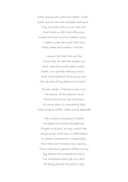What change can reach the wealth I hold? What chance can mar the pearl and gold Thy love hath left in trust with me? And while in life's late afternoon, Where cool and long the shadows grow, I walk to meet the night that soon Shall shape and shadow overflow,

I cannot feel that thou art far, Since near at need the angels are; And when the sunset gates unbar, Shall I not see thee waiting stand, And, white against the evening star, The welcome of thy beckoning hand?

Brisk wielder of the birch and rule, The master of the district school Held at the fire his favored place; Its warm glow lit a laughing face Fresh-hued and fair, where scarce appeared

The uncertain prophecy of beard. He teased the mitten-blinded cat, Played cross-pins on my uncle's hat, Sang songs, and told us what befalls In classic Dartmouth's college halls. Born the wild Northern hills among, From whence his yeoman father wrung By patient toil subsistence scant, Not competence and yet not want, He early gained the power to pay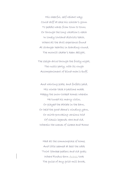His cheerful, self-reliant way; Could doff at ease his scholar's gown To peddle wares from town to town; Or through the long vacation's reach In lonely lowland districts teach, Where all the droll experience found At stranger hearths in boarding round, The moonlit skater's keen delight,

The sleigh-drive through the frosty night, The rustic party, with its rough Accompaniment of blind-man's-buff,

And whirling plate, and forfeits paid, His winter task a pastime made. Happy the snow-locked homes wherein He tuned his merry violin, Or played the athlete in the barn, Or held the good dame's winding yarn, Or mirth-provoking versions told Of classic legends rare and old, Wherein the scenes of Greece and Rome

Had all the commonplace of home, And little seemed at best the odds 'Twixt Yankee pedlers and old gods; Where Pindus-born Araxes took The guise of any grist-mill brook,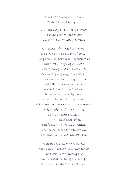And dread Olympus at his will Became a huckleberry hill.

A careless boy that night he seemed; But at his desk he had the look And air of one who wisely schemed,

And hostage from the future took In trainéd thought and lore of book. Large-brained, clear-eyed,—of such as he Shall Freedom's young apostles be, Who, following in War's bloody trail, Shall every lingering wrong assail; All chains from limb and spirit strike, Uplift the black and white alike; Scatter before their swift advance The darkness and the ignorance, The pride, the lust, the squalid sloth, Which nurtured Treason's monstrous growth, Made murder pastime, and the hell Of prison-torture possible; The cruel lie of caste refute, Old forms remould, and substitute For Slavery's lash the freeman's will, For blind routine, wise-handed skill;

A school-house plant on every hill, Stretching in radiate nerve-lines thence The quick wires of intelligence; Till North and South together brought Shall own the same electric thought,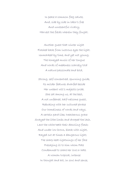In peace a common flag salute, And, side by side in labor's free And unresentful rivalry, Harvest the fields wherein they fought.

Another guest that winter night Flashed back from lustrous eyes the light. Unmarked by time, and yet not young, The honeyed music of her tongue And words of meekness scarcely told A nature passionate and bold,

Strong, self-concentred, spurning guide, Its milder features dwarfed beside Her unbent will's majestic pride. She sat among us, at the best, A not unfeared, half-welcome guest, Rebuking with her cultured phrase Our homeliness of words and ways. A certain pard-like, treacherous grace Swayed the lithe limbs and drooped the lash, Lent the white teeth their dazzling flash; And under low brows, black with night, Rayed out at times a dangerous light; The sharp heat-lightnings of her face Presaging ill to him whom Fate Condemned to share her love or hate. A woman tropical, intense In thought and act, in soul and sense,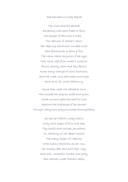She blended in a like degree

The vixen and the devotee, Revealing with each freak or feint The temper of Petruchio's Kate, The raptures of Siena's saint. Her tapering hand and rounded wrist Had facile power to form a fist; The warm, dark languish of her eyes Was never safe from wrath's surprise. Brows saintly calm and lips devout Knew every change of scowl and pout; And the sweet voice had notes more high And shrill for social battle-cry.

Since then what old cathedral town Has missed her pilgrim staff and gown, What convent-gate has held its lock Against the challenge of her knock! Through Smyrna's plague-hushed thoroughfares,

> Up sea-set Malta's rocky stairs, Gray olive slopes of hills that hem Thy tombs and shrines, Jerusalem, Or startling on her desert throne The crazy Queen of Lebanon With claims fantastic as her own, Her tireless feet have held their way; And still, unrestful, bowed, and gray, She watches under Eastern skies,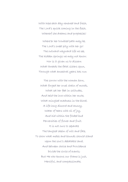With hope each day renewed and fresh, The Lord's quick coming in the flesh, Whereof she dreams and prophesies!

Where'er her troubled path may be, The Lord's sweet pity with her go! The outward wayward life we see, The hidden springs we may not know. Nor is it given us to discern What threads the fatal sisters spun, Through what ancestral years has run

The sorrow with the woman born, What forged her cruel chain of moods, What set her feet in solitudes, And held the love within her mute, What mingled madness in the blood, A life-long discord and annoy, Water of tears with oil of joy, And hid within the folded bud Perversities of flower and fruit. It is not ours to separate The tangled skein of will and fate, To show what metes and bounds should stand Upon the soul's debatable land, And between choice and Providence Divide the circle of events; But He who knows our frame is just, Merciful, and compassionate,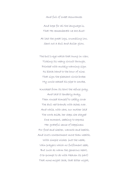# And full of sweet assurances

And hope for all the language is, That He remembereth we are dust! At last the great logs, crumbling low, Sent out a dull and duller glow,

The bull's-eye watch that hung in view, Ticking its weary circuit through, Pointed with mutely-warning sign Its black hand to the hour of nine. That sign the pleasant circle broke: My uncle ceased his pipe to smoke,

Knocked from its bowl the refuse gray, And laid it tenderly away, Then roused himself to safely cover The dull red brands with ashes over. And while, with care, our mother laid The work aside, her steps she stayed One moment, seeking to express Her grateful sense of happiness For food and shelter, warmth and health, And love's contentment more than wealth, With simple wishes (not the weak, Vain prayers which no fulfilment seek, But such as warm the generous heart, O'er-prompt to do with Heaven its part) That none might lack, that bitter night,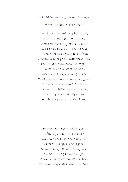For bread and clothing, warmth and light.

Within our beds awhile we heard

The wind that round the gables roared, With now and then a ruder shock, Which made our very bedsteads rock. We heard the loosened clapboards tost, The board-nails snapping in the frost; And on us, through the unplastered wall, Felt the light sifted snow-flakes fall. But sleep stole on, as sleep will do When hearts are light and life is new; Faint and more faint the murmurs grew, Till in the summer-land of dreams They softened to the sound of streams, Low stir of leaves, and dip of oars, And lapsing waves on quiet shores.

Next morn we wakened with the shout Of merry voices high and clear; And saw the teamsters drawing near To break the drifted highways out. Down the long hillside treading slow We saw the half-buried oxen go, Shaking the snow from heads uptost, Their straining nostrils white with frost.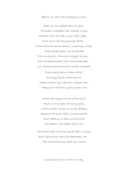# Before our door the straggling train

Drew up, an added team to gain. The elders threshed their hands a-cold, Passed, with the cider-mug, their jokes From lip to lip; the younger folks Down the loose snow-banks, wrestling, rolled, Then toiled again the cavalcade O'er windy hill, through clogged ravine, And woodland paths that wound between Low drooping pine-boughs winter-weighed.

From every barn a team afoot, At every house a new recruit, Where, drawn by Nature's subtlest law, Haply the watchful young men saw

Sweet doorway pictures of the curls And curious eyes of merry girls, Lifting their hands in mock defence Against the snow-ball's compliments, And reading in each missive tost The charm with Eden never lost.

We heard once more the sleigh-bells' sound; And, following where the teamsters led, The wise old Doctor went his round,

Just pausing at our door to say,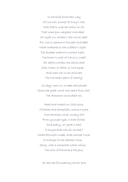In the brief autocratic way Of one who, prompt at Duty's call, Was free to urge her claim on all, That some poor neighbor sick abed At night our mother's aid would need. For, one in generous thought and deed, What mattered in the sufferer's sight The Quaker matron's inward light, The Doctor's mail of Calvin's creed? All hearts confess the saints elect Who, twain in faith, in love agree, And melt not in an acid sect The Christian pearl of charity!

So days went on: a week had passed Since the great world was heard from last. The Almanac we studied o'er,

Read and reread our little store, Of books and pamphlets, scarce a score; One harmless novel, mostly hid From younger eyes, a book forbid, And poetry, (or good or bad, A single book was all we had,) Where Ellwood's meek, drab-skirted Muse, A stranger to the heathen Nine, Sang, with a somewhat nasal whine, The wars of David and the Jews.

At last the floundering carrier bore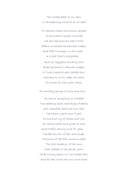The village paper to our door. Lo! broadening outward as we read,

To warmer zones the horizon spread; In panoramic length unrolled We saw the marvels that it told. Before us passed the painted Creeks, And daft McGregor on his raids In Costa Rica's everglades. And up Taygetos winding slow Rode Ypsilanti's Mainote Greeks, A Turk's head at each saddle-bow!

Welcome to us its week-old news, Its corner for the rustic Muse,

Its monthly gauge of snow and rain,

Its record, mingling in a breath The wedding knell and dirge of death; Jest, anecdote, and love-lorn tale; The latest culprit sent to jail; Its hue and cry of stolen and lost, Its vendue sales and goods at cost, And traffic calling loud for gain. We felt the stir of hall and street, The pulse of life that round us beat; The chill embargo of the snow Was melted in the genial glow; Wide swung again our ice-locked door, And all the world was ours once more!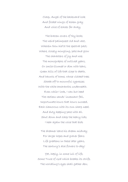Clasp, Angel of the backward look And folded wings of ashen gray And voice of echoes far away,

The brazen covers of thy book; The weird palimpsest old and vast, Wherein thou hid'st the spectral past; Where, closely mingling, pale and glow The characters of joy and woe; The monographs of outlived years, Or smile-illumed or dim with tears, Green hills of life that slope to death, And haunts of home, whose vistaed trees Shade off to mournful cypresses With the white amaranths underneath. Even while I look, I can but heed The restless sands' incessant fall, Importunate hours that hours succeed, Each clamorous with its own sharp need, And duty keeping pace with all. Shut down and clasp the heavy lids; I hear again the voice that bids

The dreamer leave his dream midway For larger hopes and graver fears: Life greatens in these later years, The century's aloe flowers to-day!

Yet, haply, in some lull of life, Some Truce of God which breaks its strife, The worldling's eyes shall gather dew,